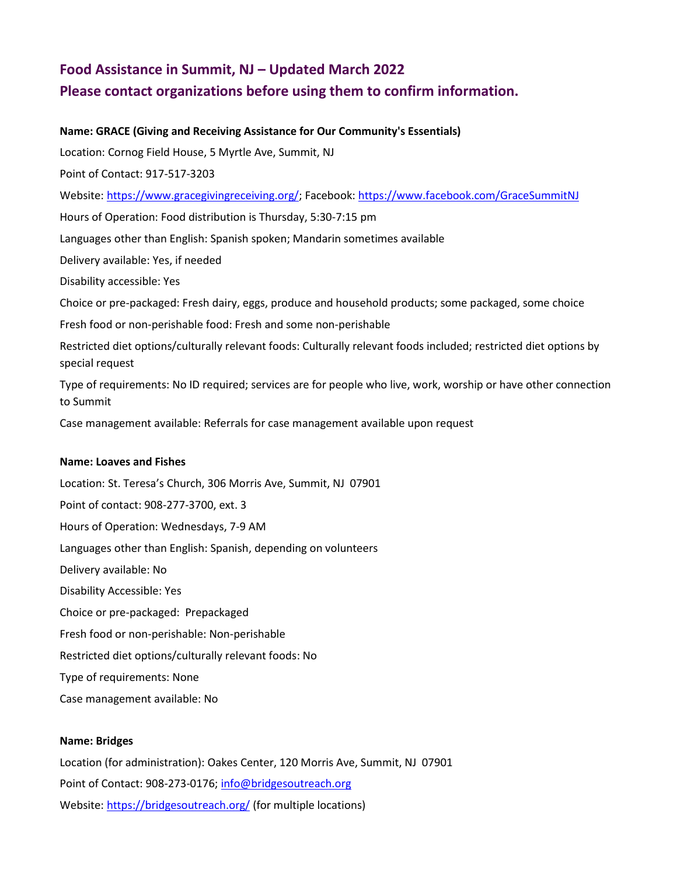# **Food Assistance in Summit, NJ – Updated March 2022 Please contact organizations before using them to confirm information.**

## **Name: GRACE (Giving and Receiving Assistance for Our Community's Essentials)**

Location: Cornog Field House, 5 Myrtle Ave, Summit, NJ

Point of Contact: 917-517-3203

Website: [https://www.gracegivingreceiving.org/;](https://urldefense.proofpoint.com/v2/url?u=https-3A__www.gracegivingreceiving.org_&d=DwMFaQ&c=euGZstcaTDllvimEN8b7jXrwqOf-v5A_CdpgnVfiiMM&r=mIPpGfudSvCGYfgP1zQSyyGO0BErG1GSsf3Q7F7wUkc&m=Xzpuz6O98QPCJPD6MGq4hHORze-Gyt7-U7c1C_fGKJ4&s=_qbaD9LyvctK-Od0q5qOhqZsAO7YtP1oM-Nu-LyUE4I&e=) Facebook: [https://www.facebook.com/GraceSummitNJ](https://urldefense.proofpoint.com/v2/url?u=https-3A__www.facebook.com_GraceSummitNJ&d=DwMFaQ&c=euGZstcaTDllvimEN8b7jXrwqOf-v5A_CdpgnVfiiMM&r=mIPpGfudSvCGYfgP1zQSyyGO0BErG1GSsf3Q7F7wUkc&m=Xzpuz6O98QPCJPD6MGq4hHORze-Gyt7-U7c1C_fGKJ4&s=v-seQZrXOlvaoM6iKQ2CZMfZ3feO0j1Y6VTbM1MGDZ4&e=)

Hours of Operation: Food distribution is Thursday, 5:30-7:15 pm

Languages other than English: Spanish spoken; Mandarin sometimes available

Delivery available: Yes, if needed

Disability accessible: Yes

Choice or pre-packaged: Fresh dairy, eggs, produce and household products; some packaged, some choice

Fresh food or non-perishable food: Fresh and some non-perishable

Restricted diet options/culturally relevant foods: Culturally relevant foods included; restricted diet options by special request

Type of requirements: No ID required; services are for people who live, work, worship or have other connection to Summit

Case management available: Referrals for case management available upon request

#### **Name: Loaves and Fishes**

Location: St. Teresa's Church, 306 Morris Ave, Summit, NJ 07901 Point of contact: 908-277-3700, ext. 3 Hours of Operation: Wednesdays, 7-9 AM Languages other than English: Spanish, depending on volunteers Delivery available: No Disability Accessible: Yes Choice or pre-packaged: Prepackaged Fresh food or non-perishable: Non-perishable Restricted diet options/culturally relevant foods: No Type of requirements: None Case management available: No

#### **Name: Bridges**

Location (for administration): Oakes Center, 120 Morris Ave, Summit, NJ 07901 Point of Contact: 908-273-0176[; info@bridgesoutreach.org](mailto:info@bridgesoutreach.org) Website[: https://bridgesoutreach.org/](https://bridgesoutreach.org/) (for multiple locations)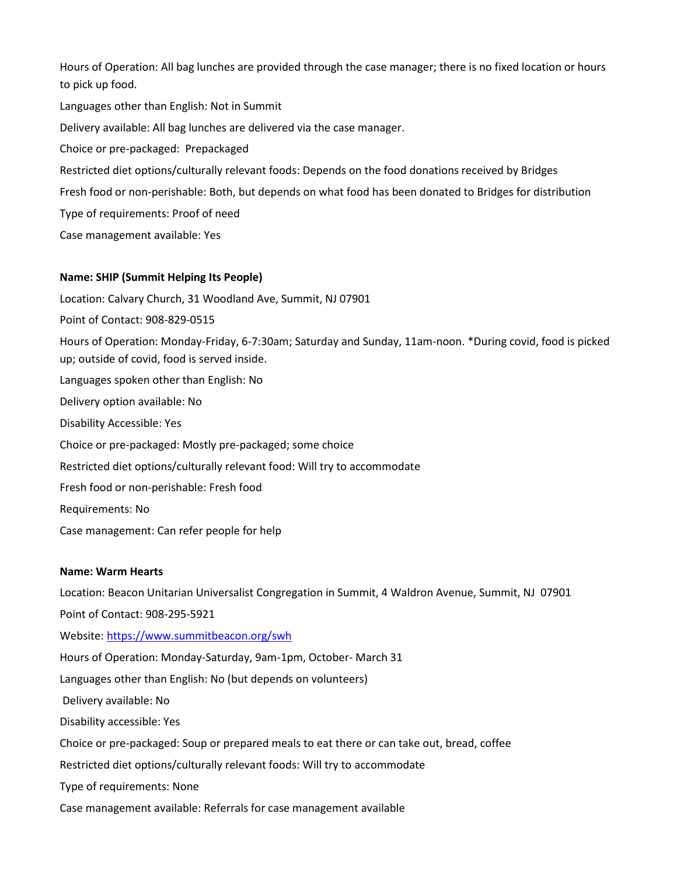Hours of Operation: All bag lunches are provided through the case manager; there is no fixed location or hours to pick up food. Languages other than English: Not in Summit Delivery available: All bag lunches are delivered via the case manager. Choice or pre-packaged: Prepackaged Restricted diet options/culturally relevant foods: Depends on the food donations received by Bridges Fresh food or non-perishable: Both, but depends on what food has been donated to Bridges for distribution Type of requirements: Proof of need Case management available: Yes

## **Name: SHIP (Summit Helping Its People)**

Location: Calvary Church, 31 Woodland Ave, Summit, NJ 07901

Point of Contact: 908-829-0515

Hours of Operation: Monday-Friday, 6-7:30am; Saturday and Sunday, 11am-noon. \*During covid, food is picked up; outside of covid, food is served inside.

Languages spoken other than English: No

Delivery option available: No

Disability Accessible: Yes

Choice or pre-packaged: Mostly pre-packaged; some choice

Restricted diet options/culturally relevant food: Will try to accommodate

Fresh food or non-perishable: Fresh food

Requirements: No

Case management: Can refer people for help

#### **Name: Warm Hearts**

Location: Beacon Unitarian Universalist Congregation in Summit, 4 Waldron Avenue, Summit, NJ 07901 Point of Contact: 908-295-5921 Website[: https://www.summitbeacon.org/swh](https://www.summitbeacon.org/swh) Hours of Operation: Monday-Saturday, 9am-1pm, October- March 31 Languages other than English: No (but depends on volunteers) Delivery available: No Disability accessible: Yes Choice or pre-packaged: Soup or prepared meals to eat there or can take out, bread, coffee Restricted diet options/culturally relevant foods: Will try to accommodate Type of requirements: None Case management available: Referrals for case management available